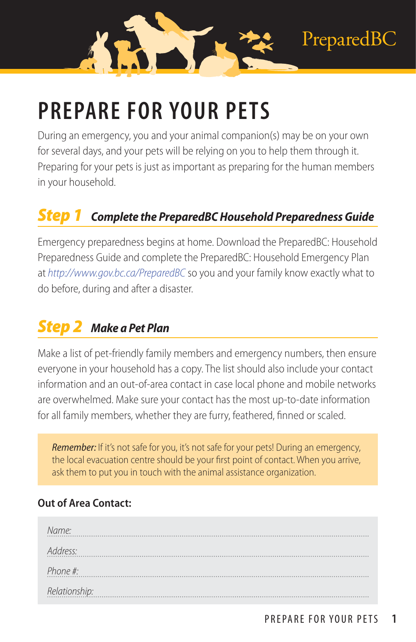# **PREPARE FOR YOUR PETS**

During an emergency, you and your animal companion(s) may be on your own for several days, and your pets will be relying on you to help them through it. Preparing for your pets is just as important as preparing for the human members in your household.

#### *Step 1 Complete the PreparedBC Household Preparedness Guide*

Emergency preparedness begins at home. Download the PreparedBC: Household Preparedness Guide and complete the PreparedBC: Household Emergency Plan at *<http://www.gov.bc.ca/PreparedBC>* so you and your family know exactly what to do before, during and after a disaster.

#### *Step 2 Make a Pet Plan*

Make a list of pet-friendly family members and emergency numbers, then ensure everyone in your household has a copy. The list should also include your contact information and an out-of-area contact in case local phone and mobile networks are overwhelmed. Make sure your contact has the most up-to-date information for all family members, whether they are furry, feathered, finned or scaled.

*Remember:* If it's not safe for you, it's not safe for your pets! During an emergency, the local evacuation centre should be your first point of contact. When you arrive, ask them to put you in touch with the animal assistance organization.

#### **Out of Area Contact:**

| Name:         |
|---------------|
| Address:      |
| Phone #:      |
| Relationship: |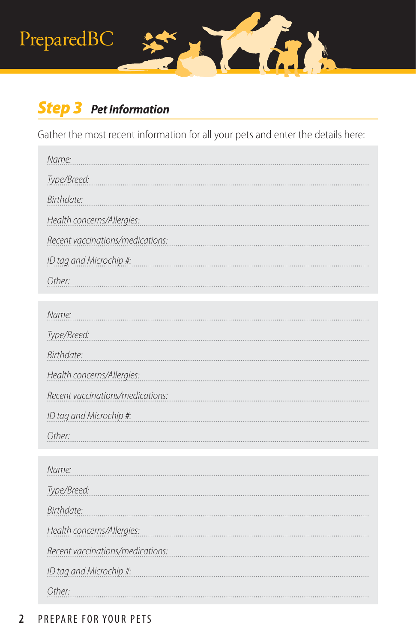## PreparedBC

## *Step 3 Pet Information*

Gather the most recent information for all your pets and enter the details here:

Ka

| Name:                            |
|----------------------------------|
| Type/Breed:                      |
| Birthdate:                       |
| Health concerns/Allergies:       |
| Recent vaccinations/medications: |
| ID tag and Microchip #:          |
| Other:                           |

| Name:                            |
|----------------------------------|
| Type/Breed:                      |
| Birthdate:                       |
| Health concerns/Allergies:       |
| Recent vaccinations/medications: |
| ID tag and Microchip #:          |
| Other:                           |

| Name:                            |
|----------------------------------|
| Type/Breed:                      |
| Birthdate:                       |
| Health concerns/Allergies:       |
| Recent vaccinations/medications: |
| ID tag and Microchip #:          |
| Other:                           |

#### **2** PREPARE FOR YOUR PETS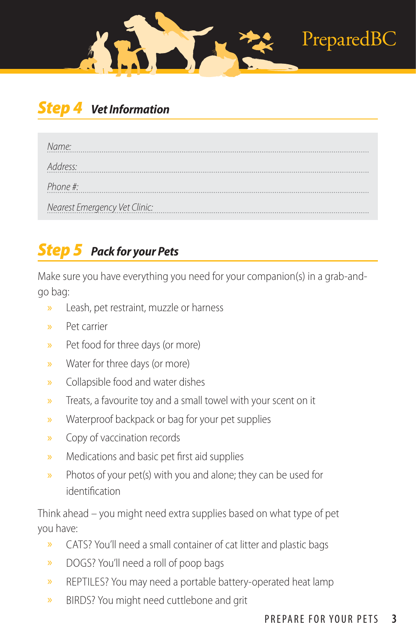### **Vet Information**

| Name:                         |
|-------------------------------|
| Address:                      |
| Phone #:                      |
| Nearest Emergency Vet Clinic: |

## *Step 5 Pack for your Pets*

Make sure you have everything you need for your companion(s) in a grab-andgo bag:

- » Leash, pet restraint, muzzle or harness
- » Pet carrier
- » Pet food for three days (or more)
- » Water for three days (or more)
- » Collapsible food and water dishes
- » Treats, a favourite toy and a small towel with your scent on it
- » Waterproof backpack or bag for your pet supplies
- » Copy of vaccination records
- » Medications and basic pet first aid supplies
- » Photos of your pet(s) with you and alone; they can be used for identification

Think ahead – you might need extra supplies based on what type of pet you have:

- » CATS? You'll need a small container of cat litter and plastic bags
- » DOGS? You'll need a roll of poop bags
- » REPTILES? You may need a portable battery-operated heat lamp
- » BIRDS? You might need cuttlebone and grit

PreparedBC